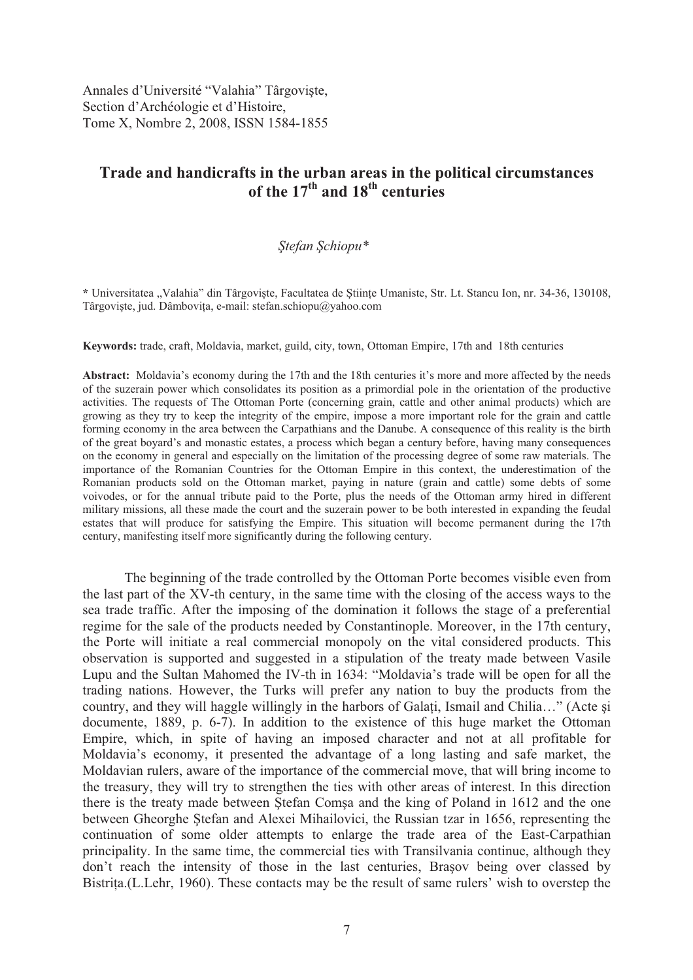Annales d'Université "Valahia" Târgoviște, Section d'Archéologie et d'Histoire, Tome X, Nombre 2, 2008, ISSN 1584-1855

## **Trade and handicrafts in the urban areas in the political circumstances**  of the  $17<sup>th</sup>$  and  $18<sup>th</sup>$  centuries

## *tefan chiopu\**

\* Universitatea "Valahia" din Târgoviste, Facultatea de Stiinte Umaniste, Str. Lt. Stancu Ion, nr. 34-36, 130108, Târgoviște, jud. Dâmbovița, e-mail: stefan.schiopu@yahoo.com

**Keywords:** trade, craft, Moldavia, market, guild, city, town, Ottoman Empire, 17th and 18th centuries

**Abstract:** Moldavia's economy during the 17th and the 18th centuries it's more and more affected by the needs of the suzerain power which consolidates its position as a primordial pole in the orientation of the productive activities. The requests of The Ottoman Porte (concerning grain, cattle and other animal products) which are growing as they try to keep the integrity of the empire, impose a more important role for the grain and cattle forming economy in the area between the Carpathians and the Danube. A consequence of this reality is the birth of the great boyard's and monastic estates, a process which began a century before, having many consequences on the economy in general and especially on the limitation of the processing degree of some raw materials. The importance of the Romanian Countries for the Ottoman Empire in this context, the underestimation of the Romanian products sold on the Ottoman market, paying in nature (grain and cattle) some debts of some voivodes, or for the annual tribute paid to the Porte, plus the needs of the Ottoman army hired in different military missions, all these made the court and the suzerain power to be both interested in expanding the feudal estates that will produce for satisfying the Empire. This situation will become permanent during the 17th century, manifesting itself more significantly during the following century.

 The beginning of the trade controlled by the Ottoman Porte becomes visible even from the last part of the XV-th century, in the same time with the closing of the access ways to the sea trade traffic. After the imposing of the domination it follows the stage of a preferential regime for the sale of the products needed by Constantinople. Moreover, in the 17th century, the Porte will initiate a real commercial monopoly on the vital considered products. This observation is supported and suggested in a stipulation of the treaty made between Vasile Lupu and the Sultan Mahomed the IV-th in 1634: "Moldavia's trade will be open for all the trading nations. However, the Turks will prefer any nation to buy the products from the country, and they will haggle willingly in the harbors of Galati, Ismail and Chilia..." (Acte si documente, 1889, p. 6-7). In addition to the existence of this huge market the Ottoman Empire, which, in spite of having an imposed character and not at all profitable for Moldavia's economy, it presented the advantage of a long lasting and safe market, the Moldavian rulers, aware of the importance of the commercial move, that will bring income to the treasury, they will try to strengthen the ties with other areas of interest. In this direction there is the treaty made between Stefan Comsa and the king of Poland in 1612 and the one between Gheorghe Stefan and Alexei Mihailovici, the Russian tzar in 1656, representing the continuation of some older attempts to enlarge the trade area of the East-Carpathian principality. In the same time, the commercial ties with Transilvania continue, although they don't reach the intensity of those in the last centuries, Brasov being over classed by Bistrita.(L.Lehr, 1960). These contacts may be the result of same rulers' wish to overstep the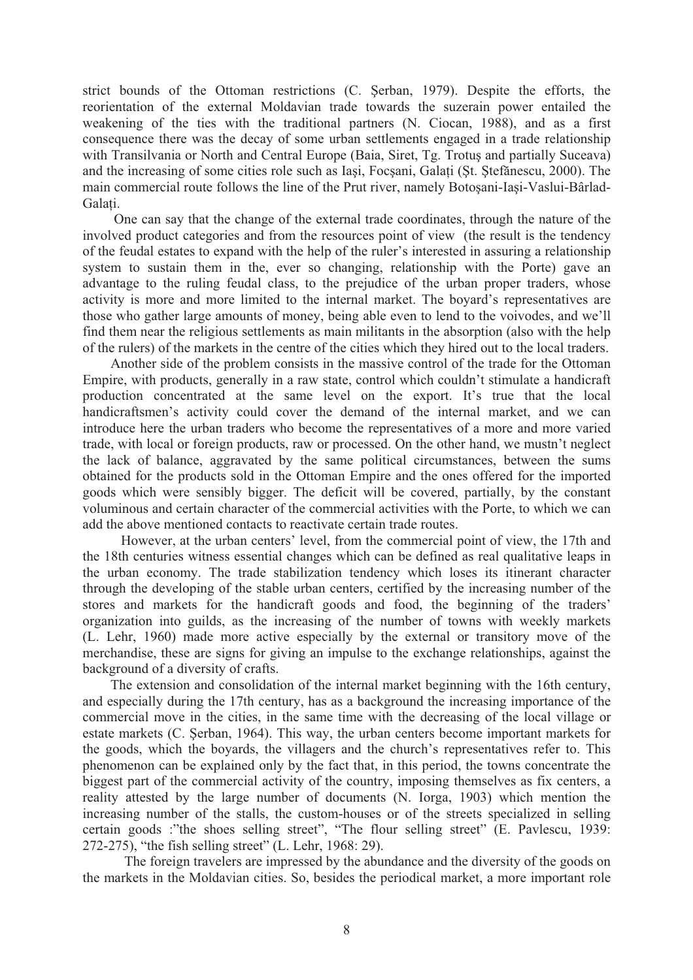strict bounds of the Ottoman restrictions (C. Serban, 1979). Despite the efforts, the reorientation of the external Moldavian trade towards the suzerain power entailed the weakening of the ties with the traditional partners (N. Ciocan, 1988), and as a first consequence there was the decay of some urban settlements engaged in a trade relationship with Transilvania or North and Central Europe (Baia, Siret, Tg. Trotus and partially Suceava) and the increasing of some cities role such as Iasi, Focsani, Galati (St. Stefănescu, 2000). The main commercial route follows the line of the Prut river, namely Botoșani-Iași-Vaslui-Bârlad-Galati

 One can say that the change of the external trade coordinates, through the nature of the involved product categories and from the resources point of view (the result is the tendency of the feudal estates to expand with the help of the ruler's interested in assuring a relationship system to sustain them in the, ever so changing, relationship with the Porte) gave an advantage to the ruling feudal class, to the prejudice of the urban proper traders, whose activity is more and more limited to the internal market. The boyard's representatives are those who gather large amounts of money, being able even to lend to the voivodes, and we'll find them near the religious settlements as main militants in the absorption (also with the help of the rulers) of the markets in the centre of the cities which they hired out to the local traders.

 Another side of the problem consists in the massive control of the trade for the Ottoman Empire, with products, generally in a raw state, control which couldn't stimulate a handicraft production concentrated at the same level on the export. It's true that the local handicraftsmen's activity could cover the demand of the internal market, and we can introduce here the urban traders who become the representatives of a more and more varied trade, with local or foreign products, raw or processed. On the other hand, we mustn't neglect the lack of balance, aggravated by the same political circumstances, between the sums obtained for the products sold in the Ottoman Empire and the ones offered for the imported goods which were sensibly bigger. The deficit will be covered, partially, by the constant voluminous and certain character of the commercial activities with the Porte, to which we can add the above mentioned contacts to reactivate certain trade routes.

 However, at the urban centers' level, from the commercial point of view, the 17th and the 18th centuries witness essential changes which can be defined as real qualitative leaps in the urban economy. The trade stabilization tendency which loses its itinerant character through the developing of the stable urban centers, certified by the increasing number of the stores and markets for the handicraft goods and food, the beginning of the traders' organization into guilds, as the increasing of the number of towns with weekly markets (L. Lehr, 1960) made more active especially by the external or transitory move of the merchandise, these are signs for giving an impulse to the exchange relationships, against the background of a diversity of crafts.

 The extension and consolidation of the internal market beginning with the 16th century, and especially during the 17th century, has as a background the increasing importance of the commercial move in the cities, in the same time with the decreasing of the local village or estate markets (C. Serban, 1964). This way, the urban centers become important markets for the goods, which the boyards, the villagers and the church's representatives refer to. This phenomenon can be explained only by the fact that, in this period, the towns concentrate the biggest part of the commercial activity of the country, imposing themselves as fix centers, a reality attested by the large number of documents (N. Iorga, 1903) which mention the increasing number of the stalls, the custom-houses or of the streets specialized in selling certain goods :"the shoes selling street", "The flour selling street" (E. Pavlescu, 1939: 272-275), "the fish selling street" (L. Lehr, 1968: 29).

 The foreign travelers are impressed by the abundance and the diversity of the goods on the markets in the Moldavian cities. So, besides the periodical market, a more important role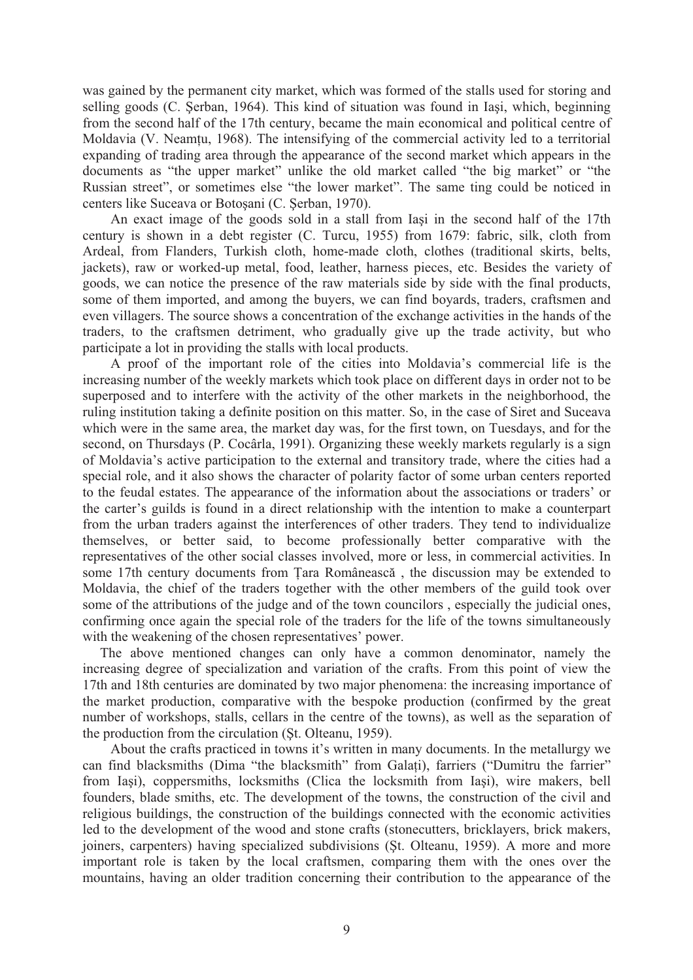was gained by the permanent city market, which was formed of the stalls used for storing and selling goods (C. Serban, 1964). This kind of situation was found in Iasi, which, beginning from the second half of the 17th century, became the main economical and political centre of Moldavia (V. Neamtu, 1968). The intensifying of the commercial activity led to a territorial expanding of trading area through the appearance of the second market which appears in the documents as "the upper market" unlike the old market called "the big market" or "the Russian street", or sometimes else "the lower market". The same ting could be noticed in centers like Suceava or Botoșani (C. Șerban, 1970).

An exact image of the goods sold in a stall from Iasi in the second half of the 17th century is shown in a debt register (C. Turcu, 1955) from 1679: fabric, silk, cloth from Ardeal, from Flanders, Turkish cloth, home-made cloth, clothes (traditional skirts, belts, jackets), raw or worked-up metal, food, leather, harness pieces, etc. Besides the variety of goods, we can notice the presence of the raw materials side by side with the final products, some of them imported, and among the buyers, we can find boyards, traders, craftsmen and even villagers. The source shows a concentration of the exchange activities in the hands of the traders, to the craftsmen detriment, who gradually give up the trade activity, but who participate a lot in providing the stalls with local products.

 A proof of the important role of the cities into Moldavia's commercial life is the increasing number of the weekly markets which took place on different days in order not to be superposed and to interfere with the activity of the other markets in the neighborhood, the ruling institution taking a definite position on this matter. So, in the case of Siret and Suceava which were in the same area, the market day was, for the first town, on Tuesdays, and for the second, on Thursdays (P. Cocârla, 1991). Organizing these weekly markets regularly is a sign of Moldavia's active participation to the external and transitory trade, where the cities had a special role, and it also shows the character of polarity factor of some urban centers reported to the feudal estates. The appearance of the information about the associations or traders' or the carter's guilds is found in a direct relationship with the intention to make a counterpart from the urban traders against the interferences of other traders. They tend to individualize themselves, or better said, to become professionally better comparative with the representatives of the other social classes involved, more or less, in commercial activities. In some 17th century documents from Tara Românească, the discussion may be extended to Moldavia, the chief of the traders together with the other members of the guild took over some of the attributions of the judge and of the town councilors , especially the judicial ones, confirming once again the special role of the traders for the life of the towns simultaneously with the weakening of the chosen representatives' power.

 The above mentioned changes can only have a common denominator, namely the increasing degree of specialization and variation of the crafts. From this point of view the 17th and 18th centuries are dominated by two major phenomena: the increasing importance of the market production, comparative with the bespoke production (confirmed by the great number of workshops, stalls, cellars in the centre of the towns), as well as the separation of the production from the circulation (St. Olteanu, 1959).

 About the crafts practiced in towns it's written in many documents. In the metallurgy we can find blacksmiths (Dima "the blacksmith" from Galati), farriers ("Dumitru the farrier" from Iași), coppersmiths, locksmiths (Clica the locksmith from Iași), wire makers, bell founders, blade smiths, etc. The development of the towns, the construction of the civil and religious buildings, the construction of the buildings connected with the economic activities led to the development of the wood and stone crafts (stonecutters, bricklayers, brick makers, joiners, carpenters) having specialized subdivisions (St. Olteanu, 1959). A more and more important role is taken by the local craftsmen, comparing them with the ones over the mountains, having an older tradition concerning their contribution to the appearance of the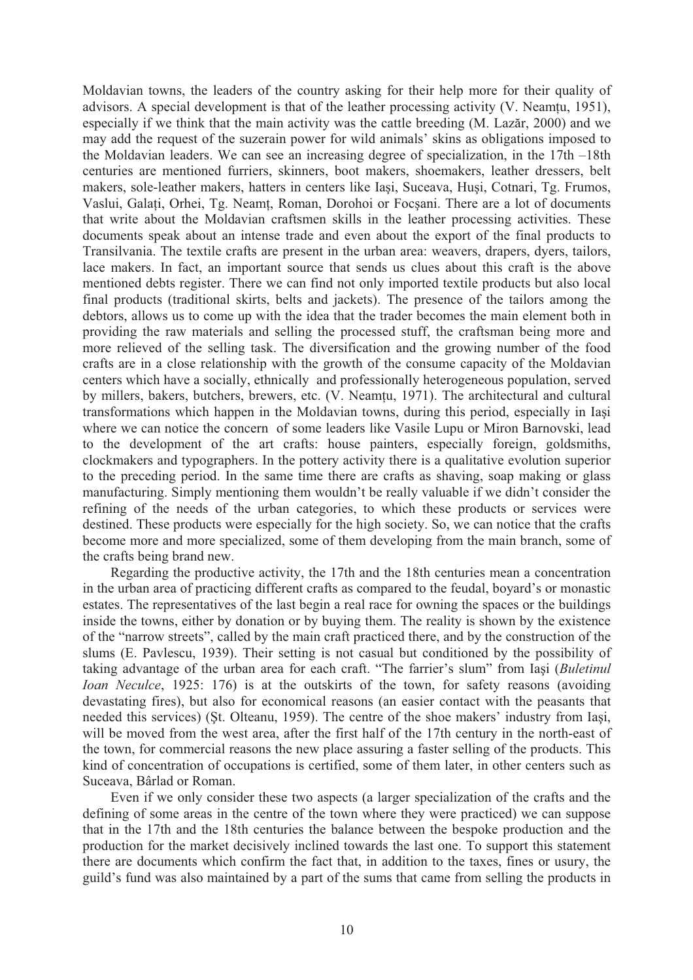Moldavian towns, the leaders of the country asking for their help more for their quality of advisors. A special development is that of the leather processing activity  $(V.$  Neamtu, 1951), especially if we think that the main activity was the cattle breeding  $(M. Lazar, 2000)$  and we may add the request of the suzerain power for wild animals' skins as obligations imposed to the Moldavian leaders. We can see an increasing degree of specialization, in the 17th –18th centuries are mentioned furriers, skinners, boot makers, shoemakers, leather dressers, belt makers, sole-leather makers, hatters in centers like Iași, Suceava, Huși, Cotnari, Tg. Frumos, Vaslui, Galați, Orhei, Tg. Neamț, Roman, Dorohoi or Focșani. There are a lot of documents that write about the Moldavian craftsmen skills in the leather processing activities. These documents speak about an intense trade and even about the export of the final products to Transilvania. The textile crafts are present in the urban area: weavers, drapers, dyers, tailors, lace makers. In fact, an important source that sends us clues about this craft is the above mentioned debts register. There we can find not only imported textile products but also local final products (traditional skirts, belts and jackets). The presence of the tailors among the debtors, allows us to come up with the idea that the trader becomes the main element both in providing the raw materials and selling the processed stuff, the craftsman being more and more relieved of the selling task. The diversification and the growing number of the food crafts are in a close relationship with the growth of the consume capacity of the Moldavian centers which have a socially, ethnically and professionally heterogeneous population, served by millers, bakers, butchers, brewers, etc. (V. Neamtu, 1971). The architectural and cultural transformations which happen in the Moldavian towns, during this period, especially in Iasi where we can notice the concern of some leaders like Vasile Lupu or Miron Barnovski, lead to the development of the art crafts: house painters, especially foreign, goldsmiths, clockmakers and typographers. In the pottery activity there is a qualitative evolution superior to the preceding period. In the same time there are crafts as shaving, soap making or glass manufacturing. Simply mentioning them wouldn't be really valuable if we didn't consider the refining of the needs of the urban categories, to which these products or services were destined. These products were especially for the high society. So, we can notice that the crafts become more and more specialized, some of them developing from the main branch, some of the crafts being brand new.

 Regarding the productive activity, the 17th and the 18th centuries mean a concentration in the urban area of practicing different crafts as compared to the feudal, boyard's or monastic estates. The representatives of the last begin a real race for owning the spaces or the buildings inside the towns, either by donation or by buying them. The reality is shown by the existence of the "narrow streets", called by the main craft practiced there, and by the construction of the slums (E. Pavlescu, 1939). Their setting is not casual but conditioned by the possibility of taking advantage of the urban area for each craft. "The farrier's slum" from Iasi (*Buletinul Ioan Neculce*, 1925: 176) is at the outskirts of the town, for safety reasons (avoiding devastating fires), but also for economical reasons (an easier contact with the peasants that needed this services) (St. Olteanu, 1959). The centre of the shoe makers' industry from Iasi, will be moved from the west area, after the first half of the 17th century in the north-east of the town, for commercial reasons the new place assuring a faster selling of the products. This kind of concentration of occupations is certified, some of them later, in other centers such as Suceava, Bârlad or Roman.

 Even if we only consider these two aspects (a larger specialization of the crafts and the defining of some areas in the centre of the town where they were practiced) we can suppose that in the 17th and the 18th centuries the balance between the bespoke production and the production for the market decisively inclined towards the last one. To support this statement there are documents which confirm the fact that, in addition to the taxes, fines or usury, the guild's fund was also maintained by a part of the sums that came from selling the products in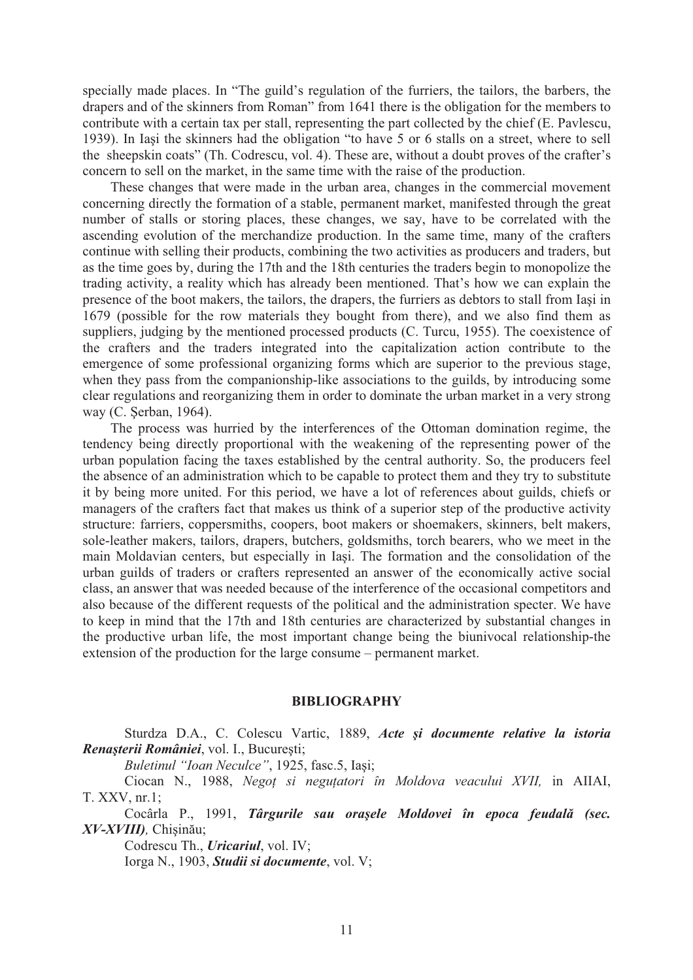specially made places. In "The guild's regulation of the furriers, the tailors, the barbers, the drapers and of the skinners from Roman" from 1641 there is the obligation for the members to contribute with a certain tax per stall, representing the part collected by the chief (E. Pavlescu, 1939). In Iasi the skinners had the obligation "to have 5 or 6 stalls on a street, where to sell the sheepskin coats" (Th. Codrescu, vol. 4). These are, without a doubt proves of the crafter's concern to sell on the market, in the same time with the raise of the production.

 These changes that were made in the urban area, changes in the commercial movement concerning directly the formation of a stable, permanent market, manifested through the great number of stalls or storing places, these changes, we say, have to be correlated with the ascending evolution of the merchandize production. In the same time, many of the crafters continue with selling their products, combining the two activities as producers and traders, but as the time goes by, during the 17th and the 18th centuries the traders begin to monopolize the trading activity, a reality which has already been mentioned. That's how we can explain the presence of the boot makers, the tailors, the drapers, the furriers as debtors to stall from Iasi in 1679 (possible for the row materials they bought from there), and we also find them as suppliers, judging by the mentioned processed products (C. Turcu, 1955). The coexistence of the crafters and the traders integrated into the capitalization action contribute to the emergence of some professional organizing forms which are superior to the previous stage, when they pass from the companionship-like associations to the guilds, by introducing some clear regulations and reorganizing them in order to dominate the urban market in a very strong way (C. Serban, 1964).

 The process was hurried by the interferences of the Ottoman domination regime, the tendency being directly proportional with the weakening of the representing power of the urban population facing the taxes established by the central authority. So, the producers feel the absence of an administration which to be capable to protect them and they try to substitute it by being more united. For this period, we have a lot of references about guilds, chiefs or managers of the crafters fact that makes us think of a superior step of the productive activity structure: farriers, coppersmiths, coopers, boot makers or shoemakers, skinners, belt makers, sole-leather makers, tailors, drapers, butchers, goldsmiths, torch bearers, who we meet in the main Moldavian centers, but especially in Iași. The formation and the consolidation of the urban guilds of traders or crafters represented an answer of the economically active social class, an answer that was needed because of the interference of the occasional competitors and also because of the different requests of the political and the administration specter. We have to keep in mind that the 17th and 18th centuries are characterized by substantial changes in the productive urban life, the most important change being the biunivocal relationship-the extension of the production for the large consume – permanent market.

## **BIBLIOGRAPHY**

Sturdza D.A., C. Colescu Vartic, 1889, Acte și documente relative la istoria *Renasterii României*, vol. I., Bucuresti;

*Buletinul "Ioan Neculce"*, 1925, fasc.5, Iași;

Ciocan N., 1988, *Nego! si negu!atori în Moldova veacului XVII,* in AIIAI, T. XXV, nr.1;

Cocârla P., 1991, *Târgurile sau orașele Moldovei în epoca feudală (sec. XV-XVIII*)*,* Chisinău;

Codrescu Th., *Uricariul*, vol. IV;

Iorga N., 1903, *Studii si documente*, vol. V;